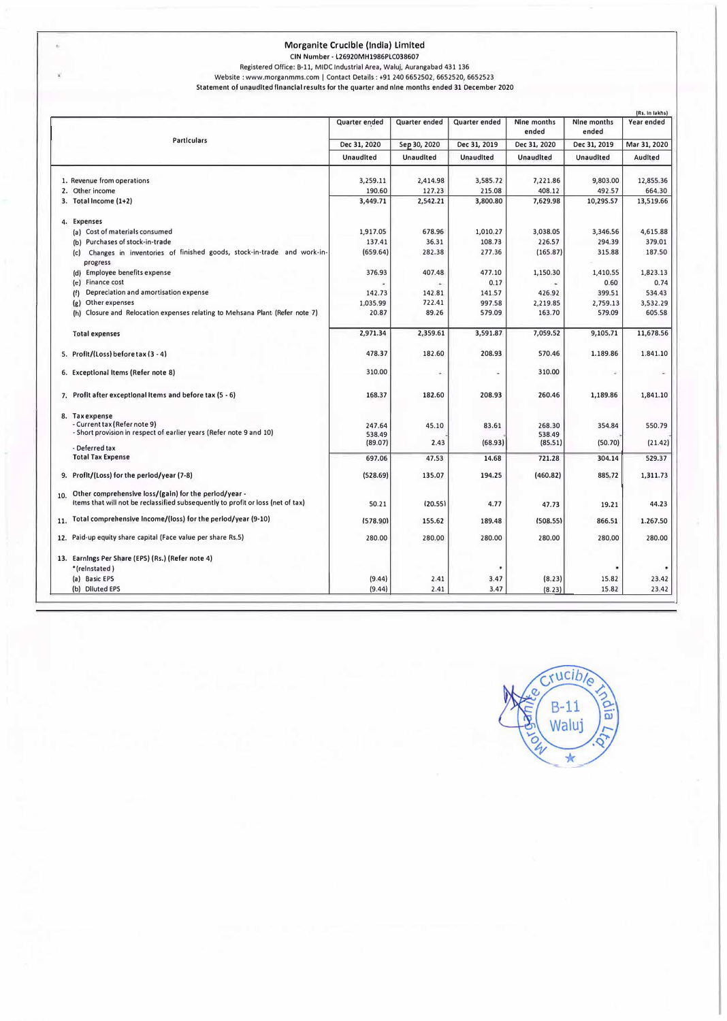#### **Morganlte Crucible (India) Limited**

×

**CIN Number· l26920MH1986PLC038607** 

**Registered Office: 8-11, MIDC Industrial Area, Waluj, Aurangabad 431 136** 

**Website : www.morganmms.com I Contact Details: +91 240 6652502, 6652520, 6652523 Statement of unaudited financial results for the quarter and nine months ended 31 December 2020** 

| (Rs. In lakhs)                                                                                                                                  |                  |                  |                  |                      |                      |              |
|-------------------------------------------------------------------------------------------------------------------------------------------------|------------------|------------------|------------------|----------------------|----------------------|--------------|
|                                                                                                                                                 | Quarter ended    | Quarter ended    | Quarter ended    | Nine months<br>ended | Nine months<br>ended | Year ended   |
| <b>Particulars</b>                                                                                                                              | Dec 31, 2020     | Sep 30, 2020     | Dec 31, 2019     | Dec 31, 2020         | Dec 31, 2019         | Mar 31, 2020 |
|                                                                                                                                                 | <b>Unaudited</b> | <b>Unaudited</b> | <b>UnaudIted</b> | <b>Unaudited</b>     | Unaudited            | Audited      |
| 1. Revenue from operations                                                                                                                      | 3,259.11         | 2,414.98         | 3,585.72         | 7,221.86             | 9,803.00             | 12,855.36    |
| 2. Other income                                                                                                                                 | 190.60           | 127.23           | 215.08           | 408.12               | 492.57               | 664.30       |
| 3. Total Income (1+2)                                                                                                                           | 3,449.71         | 2,542.21         | 3,800.80         | 7,629.98             | 10,295.57            | 13,519.66    |
| 4. Expenses                                                                                                                                     |                  |                  |                  |                      |                      |              |
| (a) Cost of materials consumed                                                                                                                  | 1,917.05         | 678.96           | 1,010.27         | 3,038.05             | 3,346.56             | 4,615.88     |
| (b) Purchases of stock-in-trade                                                                                                                 | 137.41           | 36.31            | 108.73           | 226.57               | 294.39               | 379.01       |
| Changes in inventories of finished goods, stock-in-trade and work-in-<br>(c)<br>progress                                                        | (659.64)         | 282.38           | 277.36           | (165.87)             | 315.88               | 187.50       |
| (d) Employee benefits expense                                                                                                                   | 376.93           | 407.48           | 477.10           | 1,150.30             | 1,410.55             | 1,823.13     |
| (e) Finance cost                                                                                                                                |                  | ×                | 0.17             |                      | 0.60                 | 0.74         |
| Depreciation and amortisation expense<br>(f)                                                                                                    | 142.73           | 142.81           | 141.57           | 426.92               | 399.51               | 534.43       |
| Other expenses<br>(g)                                                                                                                           | 1,035.99         | 722.41           | 997.58           | 2,219.85             | 2,759.13             | 3,532.29     |
| (h) Closure and Relocation expenses relating to Mehsana Plant (Refer note 7)                                                                    | 20.87            | 89.26            | 579.09           | 163.70               | 579.09               | 605.58       |
| <b>Total expenses</b>                                                                                                                           | 2,971.34         | 2,359.61         | 3,591.87         | 7,059.52             | 9,105.71             | 11,678.56    |
| 5. Profit/(Loss) before tax (3 - 4)                                                                                                             | 478.37           | 182.60           | 208.93           | 570.46               | 1.189.86             | 1.841.10     |
| 6. Exceptional Items (Refer note 8)                                                                                                             | 310.00           |                  |                  | 310.00               |                      |              |
| 7. Profit after exceptional items and before tax $(5 - 6)$                                                                                      | 168.37           | 182.60           | 208.93           | 260.46               | 1,189.86             | 1,841.10     |
| 8. Taxexpense<br>- Current tax (Refer note 9)<br>- Short provision in respect of earlier years (Refer note 9 and 10)                            | 247.64<br>538.49 | 45.10            | 83.61            | 268.30<br>538.49     | 354.84               | 550.79       |
| - Deferred tax                                                                                                                                  | (89.07)          | 2.43             | (68.93)          | (85.51)              | (50.70)              | (21.42)      |
| <b>Total Tax Expense</b>                                                                                                                        | 697.06           | 47.53            | 14.68            | 721.28               | 304.14               | 529.37       |
| 9. Profit/(Loss) for the period/year (7-8)                                                                                                      | (528.69)         | 135.07           | 194.25           | (460.82)             | 885.72               | 1,311.73     |
| Other comprehensive loss/(gain) for the period/year -<br>10.<br>Items that will not be reclassified subsequently to profit or loss (net of tax) | 50.21            | (20.55)          | 4.77             | 47.73                | 19.21                | 44.23        |
| Total comprehensive Income/(loss) for the period/year (9-10)<br>11.                                                                             | (578.90)         | 155.62           | 189.48           | (508.55)             | 866.51               | 1.267.50     |
| 12. Paid-up equity share capital (Face value per share Rs.5)                                                                                    | 280.00           | 280.00           | 280.00           | 280.00               | 280.00               | 280.00       |
| 13. Earnings Per Share (EPS) (Rs.) (Refer note 4)                                                                                               |                  |                  |                  |                      |                      |              |
| *(relnstated)                                                                                                                                   |                  |                  |                  |                      |                      |              |
| (a) Basic EPS                                                                                                                                   | (9.44)           | 2.41             | 3.47             | (8.23)               | 15.82                | 23.42        |
| (b) Diluted EPS                                                                                                                                 | (9.44)           | 2.41             | 3.47             | (8.23)               | 15.82                | 23.42        |

 $x$ ucib<sub>le</sub> Roia  $B-11$ Walui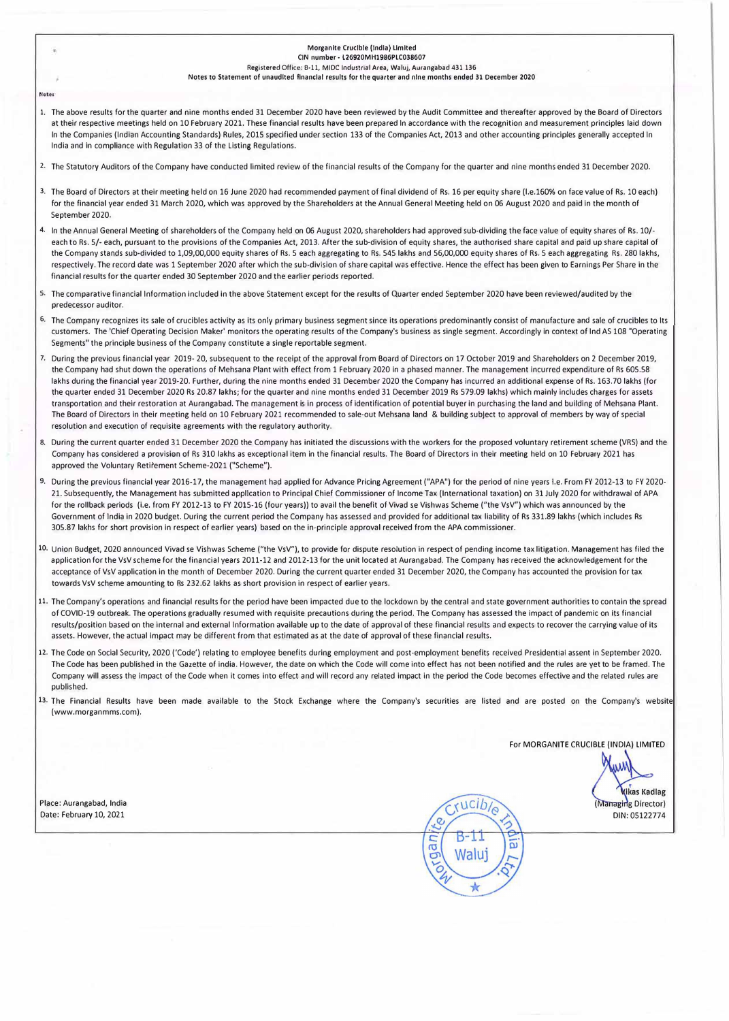|       | Morganite Crucible (India) Limited<br>×.<br>CIN number - L26920MH1986PLC038607<br>Registered Office: B-11, MIDC Industrial Area, Waluj, Aurangabad 431 136<br>Notes to Statement of unaudited financial results for the quarter and nine months ended 31 December 2020                                                                                                                                                                                                                                                                                                                                                                                                                                                                                                                                                                                                                                                                                                                                                                                                                                                               |  |  |  |  |
|-------|--------------------------------------------------------------------------------------------------------------------------------------------------------------------------------------------------------------------------------------------------------------------------------------------------------------------------------------------------------------------------------------------------------------------------------------------------------------------------------------------------------------------------------------------------------------------------------------------------------------------------------------------------------------------------------------------------------------------------------------------------------------------------------------------------------------------------------------------------------------------------------------------------------------------------------------------------------------------------------------------------------------------------------------------------------------------------------------------------------------------------------------|--|--|--|--|
| Notes |                                                                                                                                                                                                                                                                                                                                                                                                                                                                                                                                                                                                                                                                                                                                                                                                                                                                                                                                                                                                                                                                                                                                      |  |  |  |  |
|       | 1. The above results for the quarter and nine months ended 31 December 2020 have been reviewed by the Audit Committee and thereafter approved by the Board of Directors<br>at their respective meetings held on 10 February 2021. These financial results have been prepared In accordance with the recognition and measurement principles laid down<br>In the Companies (Indian Accounting Standards) Rules, 2015 specified under section 133 of the Companies Act, 2013 and other accounting principles generally accepted In<br>India and in compliance with Regulation 33 of the Listing Regulations.                                                                                                                                                                                                                                                                                                                                                                                                                                                                                                                            |  |  |  |  |
|       | 2. The Statutory Auditors of the Company have conducted limited review of the financial results of the Company for the quarter and nine months ended 31 December 2020.                                                                                                                                                                                                                                                                                                                                                                                                                                                                                                                                                                                                                                                                                                                                                                                                                                                                                                                                                               |  |  |  |  |
|       | 3. The Board of Directors at their meeting held on 16 June 2020 had recommended payment of final dividend of Rs. 16 per equity share (I.e.160% on face value of Rs. 10 each)<br>for the financial year ended 31 March 2020, which was approved by the Shareholders at the Annual General Meeting held on 06 August 2020 and paid in the month of<br>September 2020.                                                                                                                                                                                                                                                                                                                                                                                                                                                                                                                                                                                                                                                                                                                                                                  |  |  |  |  |
|       | 4. In the Annual General Meeting of shareholders of the Company held on 06 August 2020, shareholders had approved sub-dividing the face value of equity shares of Rs. 10/-<br>each to Rs. 5/- each, pursuant to the provisions of the Companies Act, 2013. After the sub-division of equity shares, the authorised share capital and paid up share capital<br>the Company stands sub-divided to 1,09,00,000 equity shares of Rs. 5 each aggregating to Rs. 545 lakhs and 56,00,000 equity shares of Rs. 5 each aggregating Rs. 280 lakhs,<br>respectively. The record date was 1 September 2020 after which the sub-division of share capital was effective. Hence the effect has been given to Earnings Per Share in the<br>financial results for the quarter ended 30 September 2020 and the earlier periods reported.                                                                                                                                                                                                                                                                                                             |  |  |  |  |
|       | 5. The comparative financial Information included in the above Statement except for the results of Quarter ended September 2020 have been reviewed/audited by the<br>predecessor auditor.                                                                                                                                                                                                                                                                                                                                                                                                                                                                                                                                                                                                                                                                                                                                                                                                                                                                                                                                            |  |  |  |  |
|       | 6. The Company recognizes its sale of crucibles activity as its only primary business segment since its operations predominantly consist of manufacture and sale of crucibles to Its<br>customers. The 'Chief Operating Decision Maker' monitors the operating results of the Company's business as single segment. Accordingly in context of Ind AS 108 "Operating<br>Segments" the principle business of the Company constitute a single reportable segment.                                                                                                                                                                                                                                                                                                                                                                                                                                                                                                                                                                                                                                                                       |  |  |  |  |
|       | 7. During the previous financial year 2019-20, subsequent to the receipt of the approval from Board of Directors on 17 October 2019 and Shareholders on 2 December 2019,<br>the Company had shut down the operations of Mehsana Plant with effect from 1 February 2020 in a phased manner. The management incurred expenditure of Rs 605.58<br>lakhs during the financial year 2019-20. Further, during the nine months ended 31 December 2020 the Company has incurred an additional expense of Rs. 163.70 lakhs (for<br>the quarter ended 31 December 2020 Rs 20.87 lakhs; for the quarter and nine months ended 31 December 2019 Rs 579.09 lakhs) which mainly includes charges for assets<br>transportation and their restoration at Aurangabad. The management is in process of identification of potential buyer in purchasing the land and building of Mehsana Plant.<br>The Board of Directors in their meeting held on 10 February 2021 recommended to sale-out Mehsana land & building subject to approval of members by way of special<br>resolution and execution of requisite agreements with the regulatory authority. |  |  |  |  |
|       | 8. During the current quarter ended 31 December 2020 the Company has initiated the discussions with the workers for the proposed voluntary retirement scheme (VRS) and the<br>Company has considered a provision of Rs 310 lakhs as exceptional item in the financial results. The Board of Directors in their meeting held on 10 February 2021 has<br>approved the Voluntary Retirement Scheme-2021 ("Scheme").                                                                                                                                                                                                                                                                                                                                                                                                                                                                                                                                                                                                                                                                                                                     |  |  |  |  |
|       | 9. During the previous financial year 2016-17, the management had applied for Advance Pricing Agreement ("APA") for the period of nine years i.e. From FY 2012-13 to FY 2020-<br>21. Subsequently, the Management has submitted application to Principal Chief Commissioner of Income Tax (International taxation) on 31 July 2020 for withdrawal of APA<br>for the rollback periods (i.e. from FY 2012-13 to FY 2015-16 (four years)) to avail the benefit of Vivad se Vishwas Scheme ("the VsV") which was announced by the<br>Government of India in 2020 budget. During the current period the Company has assessed and provided for additional tax liability of Rs 331.89 lakhs (which includes Rs<br>305.87 lakhs for short provision in respect of earlier years) based on the in-principle approval received from the APA commissioner.                                                                                                                                                                                                                                                                                      |  |  |  |  |
|       | 10. Union Budget, 2020 announced Vivad se Vishwas Scheme ("the VsV"), to provide for dispute resolution in respect of pending income tax litigation. Management has filed the<br>application for the VsV scheme for the financial years 2011-12 and 2012-13 for the unit located at Aurangabad. The Company has received the acknowledgement for the<br>acceptance of VsV application in the month of December 2020. During the current quarter ended 31 December 2020, the Company has accounted the provision for tax<br>towards VsV scheme amounting to Rs 232.62 lakhs as short provision in respect of earlier years.                                                                                                                                                                                                                                                                                                                                                                                                                                                                                                           |  |  |  |  |
|       | 11. The Company's operations and financial results for the period have been impacted due to the lockdown by the central and state government authorities to contain the spread<br>of COVID-19 outbreak. The operations gradually resumed with requisite precautions during the period. The Company has assessed the impact of pandemic on its financial<br>results/position based on the internal and external Information available up to the date of approval of these financial results and expects to recover the carrying value of its<br>assets. However, the actual impact may be different from that estimated as at the date of approval of these financial results.                                                                                                                                                                                                                                                                                                                                                                                                                                                        |  |  |  |  |
|       | 12. The Code on Social Security, 2020 ('Code') relating to employee benefits during employment and post-employment benefits received Presidential assent in September 2020.<br>The Code has been published in the Gazette of india. However, the date on which the Code will come into effect has not been notified and the rules are yet to be framed. The<br>Company will assess the impact of the Code when it comes into effect and will record any related impact in the period the Code becomes effective and the related rules are<br>published.                                                                                                                                                                                                                                                                                                                                                                                                                                                                                                                                                                              |  |  |  |  |
|       | 13. The Financial Results have been made available to the Stock Exchange where the Company's securities are listed and are posted on the Company's website<br>(www.morganmms.com).                                                                                                                                                                                                                                                                                                                                                                                                                                                                                                                                                                                                                                                                                                                                                                                                                                                                                                                                                   |  |  |  |  |
|       | For MORGANITE CRUCIBLE (INDIA) LIMITED                                                                                                                                                                                                                                                                                                                                                                                                                                                                                                                                                                                                                                                                                                                                                                                                                                                                                                                                                                                                                                                                                               |  |  |  |  |
|       | <b>Wikas Kadlag</b>                                                                                                                                                                                                                                                                                                                                                                                                                                                                                                                                                                                                                                                                                                                                                                                                                                                                                                                                                                                                                                                                                                                  |  |  |  |  |
|       | <i>sucib</i><br>Place: Aurangabad, India<br>(Managing Director)<br>Date: February 10, 2021<br>DIN: 05122774<br>Le                                                                                                                                                                                                                                                                                                                                                                                                                                                                                                                                                                                                                                                                                                                                                                                                                                                                                                                                                                                                                    |  |  |  |  |
|       | gan<br>$\omega$<br>Waluj                                                                                                                                                                                                                                                                                                                                                                                                                                                                                                                                                                                                                                                                                                                                                                                                                                                                                                                                                                                                                                                                                                             |  |  |  |  |
|       |                                                                                                                                                                                                                                                                                                                                                                                                                                                                                                                                                                                                                                                                                                                                                                                                                                                                                                                                                                                                                                                                                                                                      |  |  |  |  |